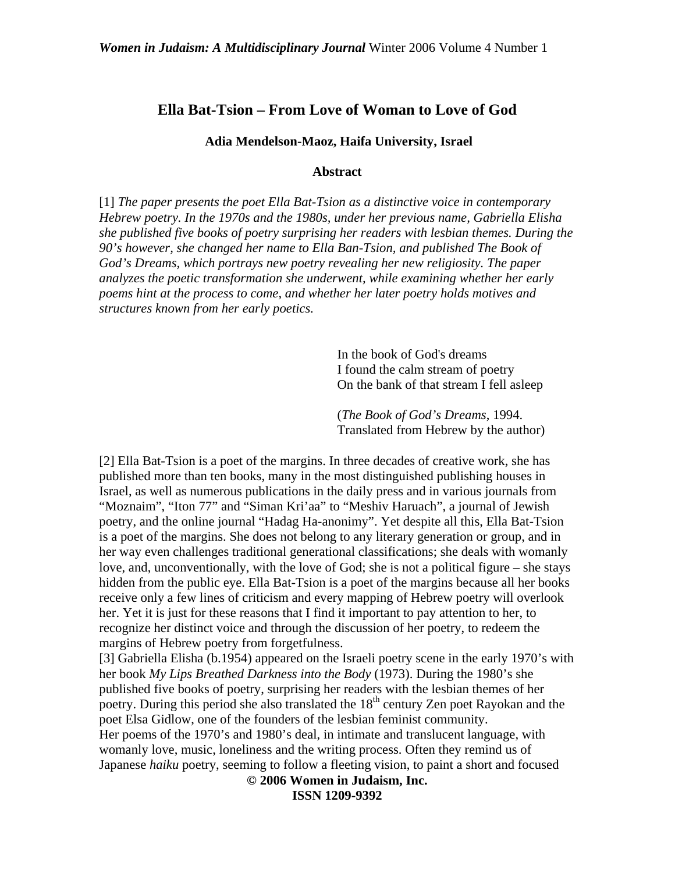## **Ella Bat-Tsion – From Love of Woman to Love of God**

 **Adia Mendelson-Maoz, Haifa University, Israel** 

#### **Abstract**

[1] *The paper presents the poet Ella Bat-Tsion as a distinctive voice in contemporary Hebrew poetry. In the 1970s and the 1980s, under her previous name, Gabriella Elisha she published five books of poetry surprising her readers with lesbian themes. During the 90's however, she changed her name to Ella Ban-Tsion, and published The Book of God's Dreams, which portrays new poetry revealing her new religiosity. The paper analyzes the poetic transformation she underwent, while examining whether her early poems hint at the process to come, and whether her later poetry holds motives and structures known from her early poetics.* 

> In the book of God's dreams I found the calm stream of poetry On the bank of that stream I fell asleep

(*The Book of God's Dreams*, 1994. Translated from Hebrew by the author)

[2] Ella Bat-Tsion is a poet of the margins. In three decades of creative work, she has published more than ten books, many in the most distinguished publishing houses in Israel, as well as numerous publications in the daily press and in various journals from "Moznaim", "Iton 77" and "Siman Kri'aa" to "Meshiv Haruach", a journal of Jewish poetry, and the online journal "Hadag Ha-anonimy". Yet despite all this, Ella Bat-Tsion is a poet of the margins. She does not belong to any literary generation or group, and in her way even challenges traditional generational classifications; she deals with womanly love, and, unconventionally, with the love of God; she is not a political figure – she stays hidden from the public eye. Ella Bat-Tsion is a poet of the margins because all her books receive only a few lines of criticism and every mapping of Hebrew poetry will overlook her. Yet it is just for these reasons that I find it important to pay attention to her, to recognize her distinct voice and through the discussion of her poetry, to redeem the margins of Hebrew poetry from forgetfulness.

[3] Gabriella Elisha (b.1954) appeared on the Israeli poetry scene in the early 1970's with her book *My Lips Breathed Darkness into the Body* (1973). During the 1980's she published five books of poetry, surprising her readers with the lesbian themes of her poetry. During this period she also translated the  $18<sup>th</sup>$  century Zen poet Rayokan and the poet Elsa Gidlow, one of the founders of the lesbian feminist community.

Her poems of the 1970's and 1980's deal, in intimate and translucent language, with womanly love, music, loneliness and the writing process. Often they remind us of Japanese *haiku* poetry, seeming to follow a fleeting vision, to paint a short and focused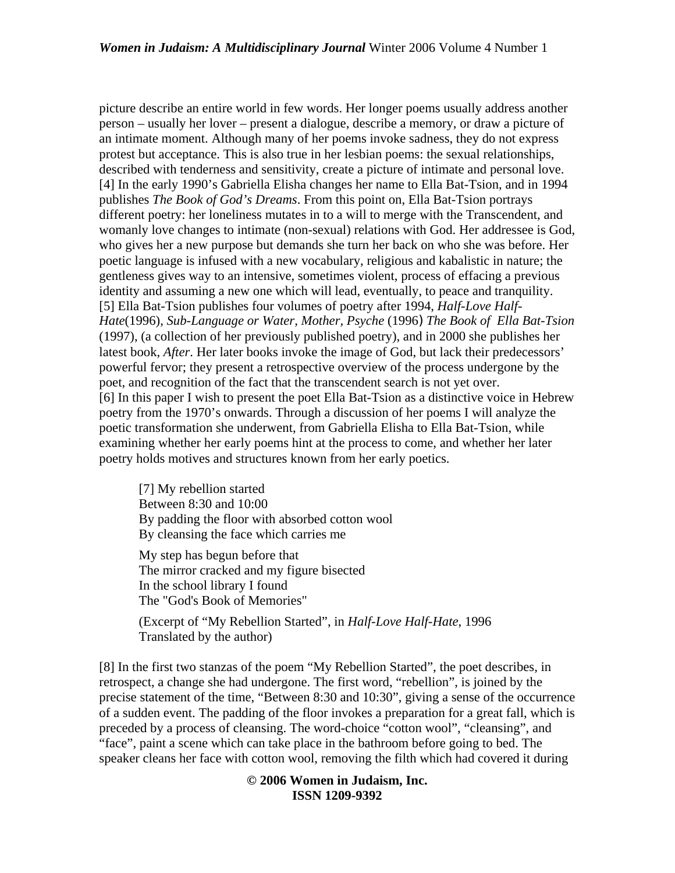picture describe an entire world in few words. Her longer poems usually address another person – usually her lover – present a dialogue, describe a memory, or draw a picture of an intimate moment. Although many of her poems invoke sadness, they do not express protest but acceptance. This is also true in her lesbian poems: the sexual relationships, described with tenderness and sensitivity, create a picture of intimate and personal love. [4] In the early 1990's Gabriella Elisha changes her name to Ella Bat-Tsion, and in 1994 publishes *The Book of God's Dreams*. From this point on, Ella Bat-Tsion portrays different poetry: her loneliness mutates in to a will to merge with the Transcendent, and womanly love changes to intimate (non-sexual) relations with God. Her addressee is God, who gives her a new purpose but demands she turn her back on who she was before. Her poetic language is infused with a new vocabulary, religious and kabalistic in nature; the gentleness gives way to an intensive, sometimes violent, process of effacing a previous identity and assuming a new one which will lead, eventually, to peace and tranquility. [5] Ella Bat-Tsion publishes four volumes of poetry after 1994, *Half-Love Half-Hate*(1996), *Sub-Language or Water, Mother, Psyche* (1996) *The Book of Ella Bat-Tsion*  (1997), (a collection of her previously published poetry), and in 2000 she publishes her latest book, *After*. Her later books invoke the image of God, but lack their predecessors' powerful fervor; they present a retrospective overview of the process undergone by the poet, and recognition of the fact that the transcendent search is not yet over. [6] In this paper I wish to present the poet Ella Bat-Tsion as a distinctive voice in Hebrew poetry from the 1970's onwards. Through a discussion of her poems I will analyze the poetic transformation she underwent, from Gabriella Elisha to Ella Bat-Tsion, while examining whether her early poems hint at the process to come, and whether her later poetry holds motives and structures known from her early poetics.

[7] My rebellion started Between 8:30 and 10:00 By padding the floor with absorbed cotton wool By cleansing the face which carries me

My step has begun before that The mirror cracked and my figure bisected In the school library I found The "God's Book of Memories"

(Excerpt of "My Rebellion Started", in *Half-Love Half-Hate*, 1996 Translated by the author)

[8] In the first two stanzas of the poem "My Rebellion Started", the poet describes, in retrospect, a change she had undergone. The first word, "rebellion", is joined by the precise statement of the time, "Between 8:30 and 10:30", giving a sense of the occurrence of a sudden event. The padding of the floor invokes a preparation for a great fall, which is preceded by a process of cleansing. The word-choice "cotton wool", "cleansing", and "face", paint a scene which can take place in the bathroom before going to bed. The speaker cleans her face with cotton wool, removing the filth which had covered it during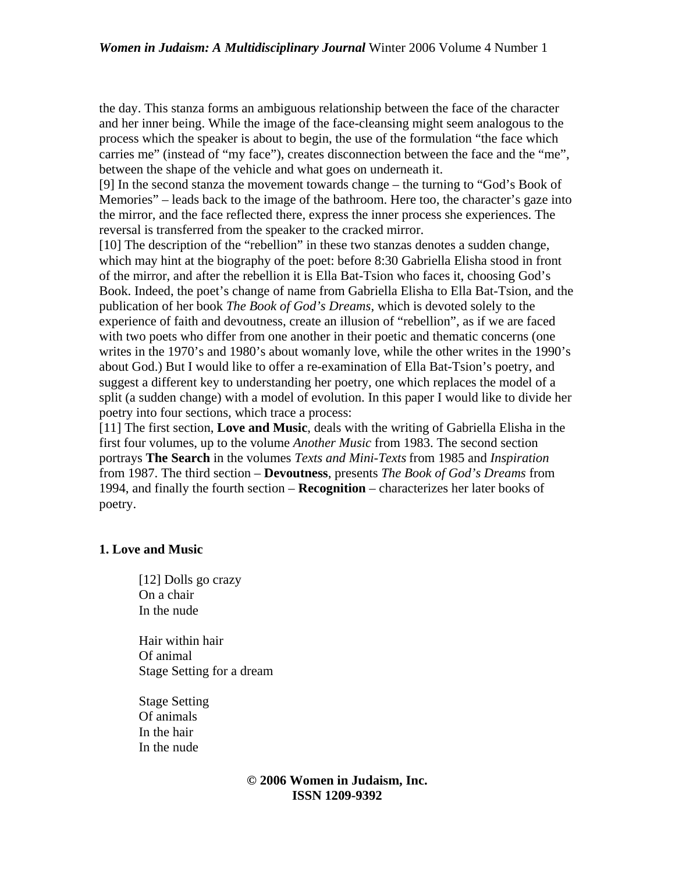the day. This stanza forms an ambiguous relationship between the face of the character and her inner being. While the image of the face-cleansing might seem analogous to the process which the speaker is about to begin, the use of the formulation "the face which carries me" (instead of "my face"), creates disconnection between the face and the "me", between the shape of the vehicle and what goes on underneath it.

[9] In the second stanza the movement towards change – the turning to "God's Book of Memories" – leads back to the image of the bathroom. Here too, the character's gaze into the mirror, and the face reflected there, express the inner process she experiences. The reversal is transferred from the speaker to the cracked mirror.

[10] The description of the "rebellion" in these two stanzas denotes a sudden change, which may hint at the biography of the poet: before 8:30 Gabriella Elisha stood in front of the mirror, and after the rebellion it is Ella Bat-Tsion who faces it, choosing God's Book. Indeed, the poet's change of name from Gabriella Elisha to Ella Bat-Tsion, and the publication of her book *The Book of God's Dreams*, which is devoted solely to the experience of faith and devoutness, create an illusion of "rebellion", as if we are faced with two poets who differ from one another in their poetic and thematic concerns (one writes in the 1970's and 1980's about womanly love, while the other writes in the 1990's about God.) But I would like to offer a re-examination of Ella Bat-Tsion's poetry, and suggest a different key to understanding her poetry, one which replaces the model of a split (a sudden change) with a model of evolution. In this paper I would like to divide her poetry into four sections, which trace a process:

[11] The first section, **Love and Music**, deals with the writing of Gabriella Elisha in the first four volumes, up to the volume *Another Music* from 1983. The second section portrays **The Search** in the volumes *Texts and Mini-Texts* from 1985 and *Inspiration* from 1987. The third section – **Devoutness**, presents *The Book of God's Dreams* from 1994, and finally the fourth section – **Recognition** – characterizes her later books of poetry.

# **1. Love and Music**

- [12] Dolls go crazy On a chair In the nude Hair within hair Of animal Stage Setting for a dream Stage Setting
- Of animals In the hair In the nude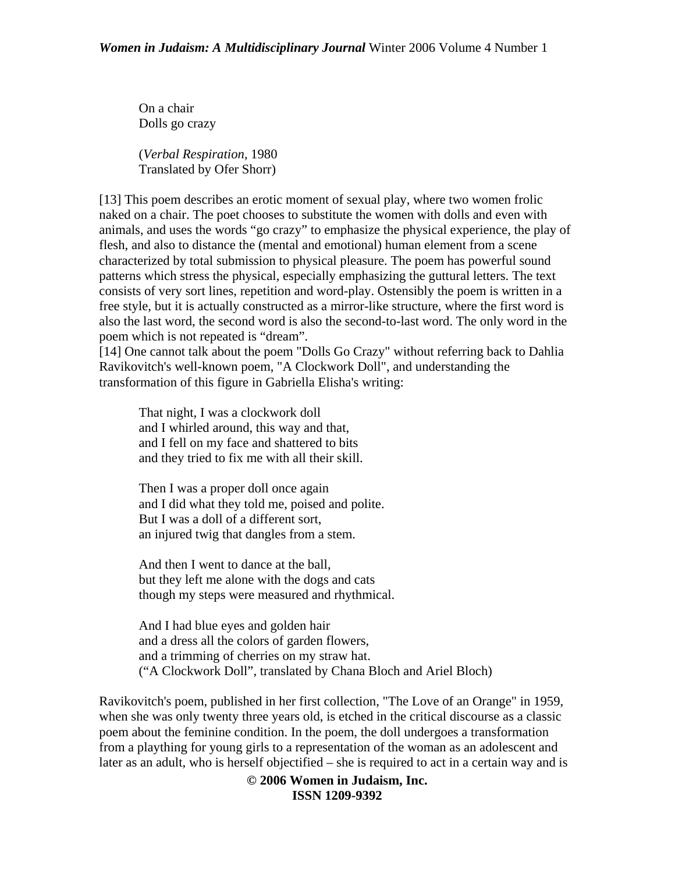On a chair Dolls go crazy

(*Verbal Respiration*, 1980 Translated by Ofer Shorr)

[13] This poem describes an erotic moment of sexual play, where two women frolic naked on a chair. The poet chooses to substitute the women with dolls and even with animals, and uses the words "go crazy" to emphasize the physical experience, the play of flesh, and also to distance the (mental and emotional) human element from a scene characterized by total submission to physical pleasure. The poem has powerful sound patterns which stress the physical, especially emphasizing the guttural letters. The text consists of very sort lines, repetition and word-play. Ostensibly the poem is written in a free style, but it is actually constructed as a mirror-like structure, where the first word is also the last word, the second word is also the second-to-last word. The only word in the poem which is not repeated is "dream".

[14] One cannot talk about the poem "Dolls Go Crazy" without referring back to Dahlia Ravikovitch's well-known poem, "A Clockwork Doll", and understanding the transformation of this figure in Gabriella Elisha's writing:

That night, I was a clockwork doll and I whirled around, this way and that, and I fell on my face and shattered to bits and they tried to fix me with all their skill.

Then I was a proper doll once again and I did what they told me, poised and polite. But I was a doll of a different sort, an injured twig that dangles from a stem.

And then I went to dance at the ball, but they left me alone with the dogs and cats though my steps were measured and rhythmical.

And I had blue eyes and golden hair and a dress all the colors of garden flowers, and a trimming of cherries on my straw hat. ("A Clockwork Doll", translated by Chana Bloch and Ariel Bloch)

Ravikovitch's poem, published in her first collection, "The Love of an Orange" in 1959, when she was only twenty three years old, is etched in the critical discourse as a classic poem about the feminine condition. In the poem, the doll undergoes a transformation from a plaything for young girls to a representation of the woman as an adolescent and later as an adult, who is herself objectified – she is required to act in a certain way and is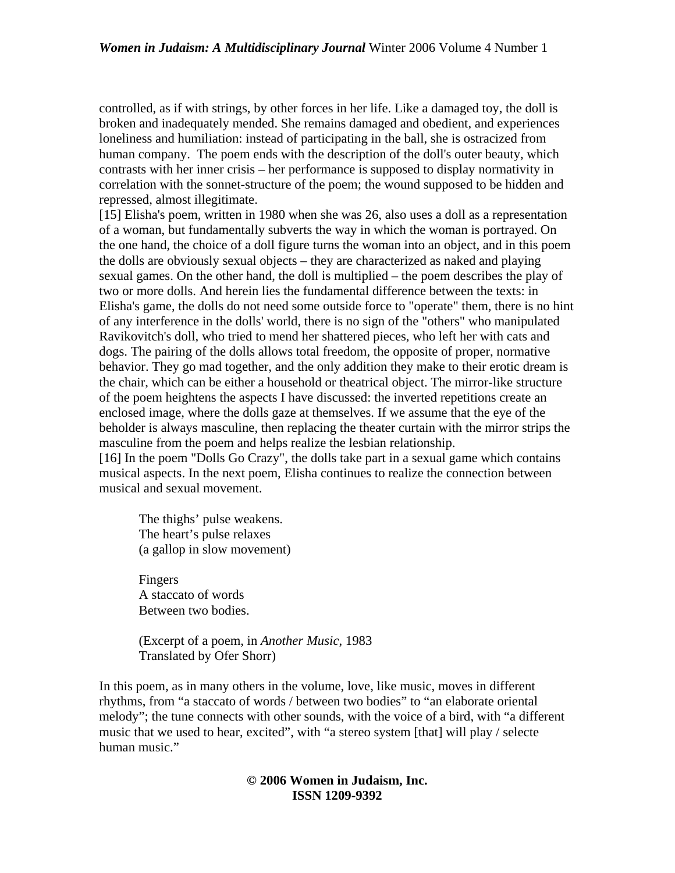controlled, as if with strings, by other forces in her life. Like a damaged toy, the doll is broken and inadequately mended. She remains damaged and obedient, and experiences loneliness and humiliation: instead of participating in the ball, she is ostracized from human company. The poem ends with the description of the doll's outer beauty, which contrasts with her inner crisis – her performance is supposed to display normativity in correlation with the sonnet-structure of the poem; the wound supposed to be hidden and repressed, almost illegitimate.

[15] Elisha's poem, written in 1980 when she was 26, also uses a doll as a representation of a woman, but fundamentally subverts the way in which the woman is portrayed. On the one hand, the choice of a doll figure turns the woman into an object, and in this poem the dolls are obviously sexual objects – they are characterized as naked and playing sexual games. On the other hand, the doll is multiplied – the poem describes the play of two or more dolls. And herein lies the fundamental difference between the texts: in Elisha's game, the dolls do not need some outside force to "operate" them, there is no hint of any interference in the dolls' world, there is no sign of the "others" who manipulated Ravikovitch's doll, who tried to mend her shattered pieces, who left her with cats and dogs. The pairing of the dolls allows total freedom, the opposite of proper, normative behavior. They go mad together, and the only addition they make to their erotic dream is the chair, which can be either a household or theatrical object. The mirror-like structure of the poem heightens the aspects I have discussed: the inverted repetitions create an enclosed image, where the dolls gaze at themselves. If we assume that the eye of the beholder is always masculine, then replacing the theater curtain with the mirror strips the masculine from the poem and helps realize the lesbian relationship.

[16] In the poem "Dolls Go Crazy", the dolls take part in a sexual game which contains musical aspects. In the next poem, Elisha continues to realize the connection between musical and sexual movement.

The thighs' pulse weakens. The heart's pulse relaxes (a gallop in slow movement)

Fingers A staccato of words Between two bodies.

(Excerpt of a poem, in *Another Music*, 1983 Translated by Ofer Shorr)

In this poem, as in many others in the volume, love, like music, moves in different rhythms, from "a staccato of words / between two bodies" to "an elaborate oriental melody"; the tune connects with other sounds, with the voice of a bird, with "a different music that we used to hear, excited", with "a stereo system [that] will play / selecte human music."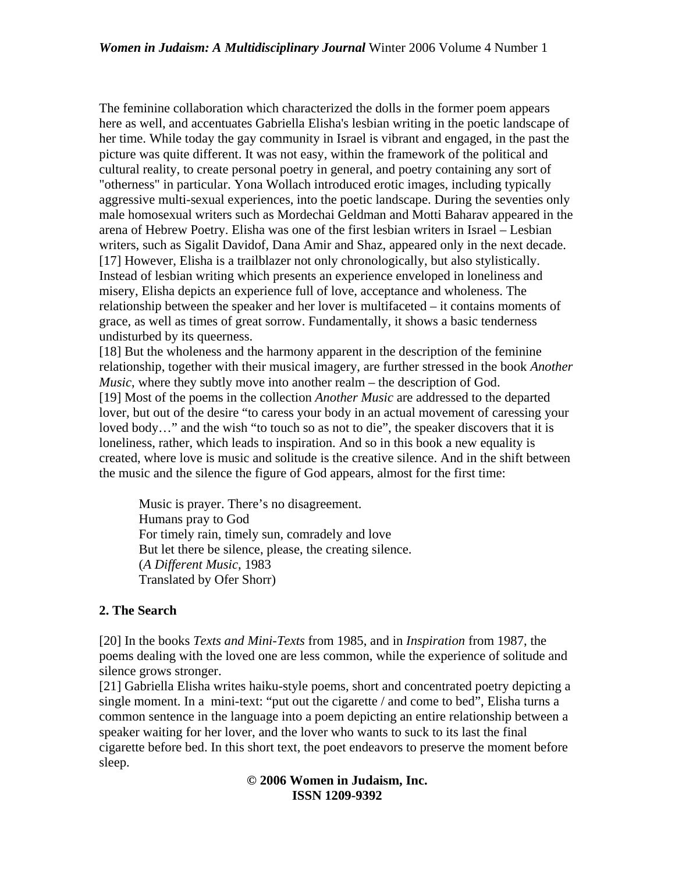The feminine collaboration which characterized the dolls in the former poem appears here as well, and accentuates Gabriella Elisha's lesbian writing in the poetic landscape of her time. While today the gay community in Israel is vibrant and engaged, in the past the picture was quite different. It was not easy, within the framework of the political and cultural reality, to create personal poetry in general, and poetry containing any sort of "otherness" in particular. Yona Wollach introduced erotic images, including typically aggressive multi-sexual experiences, into the poetic landscape. During the seventies only male homosexual writers such as Mordechai Geldman and Motti Baharav appeared in the arena of Hebrew Poetry. Elisha was one of the first lesbian writers in Israel – Lesbian writers, such as Sigalit Davidof, Dana Amir and Shaz, appeared only in the next decade. [17] However, Elisha is a trailblazer not only chronologically, but also stylistically. Instead of lesbian writing which presents an experience enveloped in loneliness and misery, Elisha depicts an experience full of love, acceptance and wholeness. The relationship between the speaker and her lover is multifaceted – it contains moments of grace, as well as times of great sorrow. Fundamentally, it shows a basic tenderness undisturbed by its queerness.

[18] But the wholeness and the harmony apparent in the description of the feminine relationship, together with their musical imagery, are further stressed in the book *Another Music*, where they subtly move into another realm – the description of God. [19] Most of the poems in the collection *Another Music* are addressed to the departed lover, but out of the desire "to caress your body in an actual movement of caressing your loved body..." and the wish "to touch so as not to die", the speaker discovers that it is loneliness, rather, which leads to inspiration. And so in this book a new equality is created, where love is music and solitude is the creative silence. And in the shift between the music and the silence the figure of God appears, almost for the first time:

Music is prayer. There's no disagreement. Humans pray to God For timely rain, timely sun, comradely and love But let there be silence, please, the creating silence. (*A Different Music*, 1983 Translated by Ofer Shorr)

# **2. The Search**

[20] In the books *Texts and Mini-Texts* from 1985, and in *Inspiration* from 1987, the poems dealing with the loved one are less common, while the experience of solitude and silence grows stronger.

[21] Gabriella Elisha writes haiku-style poems, short and concentrated poetry depicting a single moment. In a mini-text: "put out the cigarette / and come to bed", Elisha turns a common sentence in the language into a poem depicting an entire relationship between a speaker waiting for her lover, and the lover who wants to suck to its last the final cigarette before bed. In this short text, the poet endeavors to preserve the moment before sleep.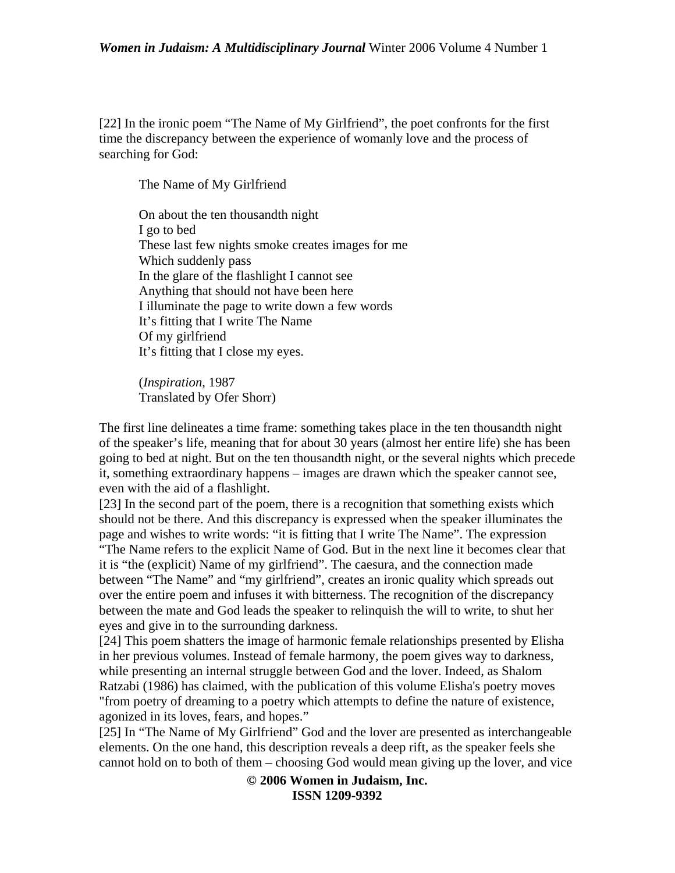[22] In the ironic poem "The Name of My Girlfriend", the poet confronts for the first time the discrepancy between the experience of womanly love and the process of searching for God:

The Name of My Girlfriend

On about the ten thousandth night I go to bed These last few nights smoke creates images for me Which suddenly pass In the glare of the flashlight I cannot see Anything that should not have been here I illuminate the page to write down a few words It's fitting that I write The Name Of my girlfriend It's fitting that I close my eyes.

(*Inspiration*, 1987 Translated by Ofer Shorr)

The first line delineates a time frame: something takes place in the ten thousandth night of the speaker's life, meaning that for about 30 years (almost her entire life) she has been going to bed at night. But on the ten thousandth night, or the several nights which precede it, something extraordinary happens – images are drawn which the speaker cannot see, even with the aid of a flashlight.

[23] In the second part of the poem, there is a recognition that something exists which should not be there. And this discrepancy is expressed when the speaker illuminates the page and wishes to write words: "it is fitting that I write The Name". The expression "The Name refers to the explicit Name of God. But in the next line it becomes clear that it is "the (explicit) Name of my girlfriend". The caesura, and the connection made between "The Name" and "my girlfriend", creates an ironic quality which spreads out over the entire poem and infuses it with bitterness. The recognition of the discrepancy between the mate and God leads the speaker to relinquish the will to write, to shut her eyes and give in to the surrounding darkness.

[24] This poem shatters the image of harmonic female relationships presented by Elisha in her previous volumes. Instead of female harmony, the poem gives way to darkness, while presenting an internal struggle between God and the lover. Indeed, as Shalom Ratzabi (1986) has claimed, with the publication of this volume Elisha's poetry moves "from poetry of dreaming to a poetry which attempts to define the nature of existence, agonized in its loves, fears, and hopes."

[25] In "The Name of My Girlfriend" God and the lover are presented as interchangeable elements. On the one hand, this description reveals a deep rift, as the speaker feels she cannot hold on to both of them – choosing God would mean giving up the lover, and vice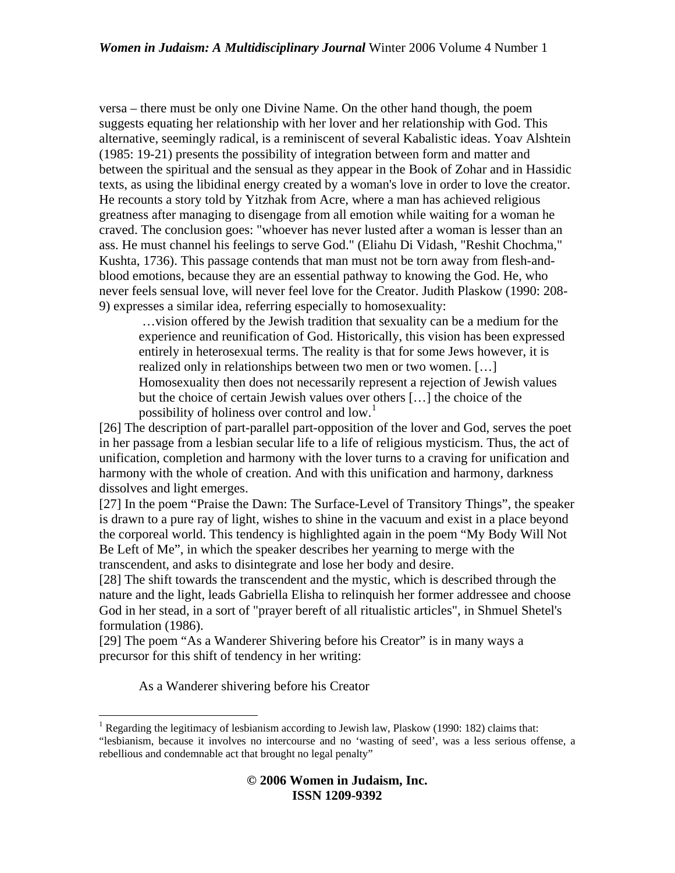versa – there must be only one Divine Name. On the other hand though, the poem suggests equating her relationship with her lover and her relationship with God. This alternative, seemingly radical, is a reminiscent of several Kabalistic ideas. Yoav Alshtein (1985: 19-21) presents the possibility of integration between form and matter and between the spiritual and the sensual as they appear in the Book of Zohar and in Hassidic texts, as using the libidinal energy created by a woman's love in order to love the creator. He recounts a story told by Yitzhak from Acre, where a man has achieved religious greatness after managing to disengage from all emotion while waiting for a woman he craved. The conclusion goes: "whoever has never lusted after a woman is lesser than an ass. He must channel his feelings to serve God." (Eliahu Di Vidash, "Reshit Chochma," Kushta, 1736). This passage contends that man must not be torn away from flesh-andblood emotions, because they are an essential pathway to knowing the God. He, who never feels sensual love, will never feel love for the Creator. Judith Plaskow (1990: 208- 9) expresses a similar idea, referring especially to homosexuality:

 …vision offered by the Jewish tradition that sexuality can be a medium for the experience and reunification of God. Historically, this vision has been expressed entirely in heterosexual terms. The reality is that for some Jews however, it is realized only in relationships between two men or two women. […] Homosexuality then does not necessarily represent a rejection of Jewish values but the choice of certain Jewish values over others […] the choice of the possibility of holiness over control and low.<sup>[1](#page-7-0)</sup>

[26] The description of part-parallel part-opposition of the lover and God, serves the poet in her passage from a lesbian secular life to a life of religious mysticism. Thus, the act of unification, completion and harmony with the lover turns to a craving for unification and harmony with the whole of creation. And with this unification and harmony, darkness dissolves and light emerges.

[27] In the poem "Praise the Dawn: The Surface-Level of Transitory Things", the speaker is drawn to a pure ray of light, wishes to shine in the vacuum and exist in a place beyond the corporeal world. This tendency is highlighted again in the poem "My Body Will Not Be Left of Me", in which the speaker describes her yearning to merge with the transcendent, and asks to disintegrate and lose her body and desire.

[28] The shift towards the transcendent and the mystic, which is described through the nature and the light, leads Gabriella Elisha to relinquish her former addressee and choose God in her stead, in a sort of "prayer bereft of all ritualistic articles", in Shmuel Shetel's formulation (1986).

[29] The poem "As a Wanderer Shivering before his Creator" is in many ways a precursor for this shift of tendency in her writing:

As a Wanderer shivering before his Creator

1

<span id="page-7-0"></span><sup>&</sup>lt;sup>1</sup> Regarding the legitimacy of lesbianism according to Jewish law, Plaskow (1990: 182) claims that: "lesbianism, because it involves no intercourse and no 'wasting of seed', was a less serious offense, a rebellious and condemnable act that brought no legal penalty"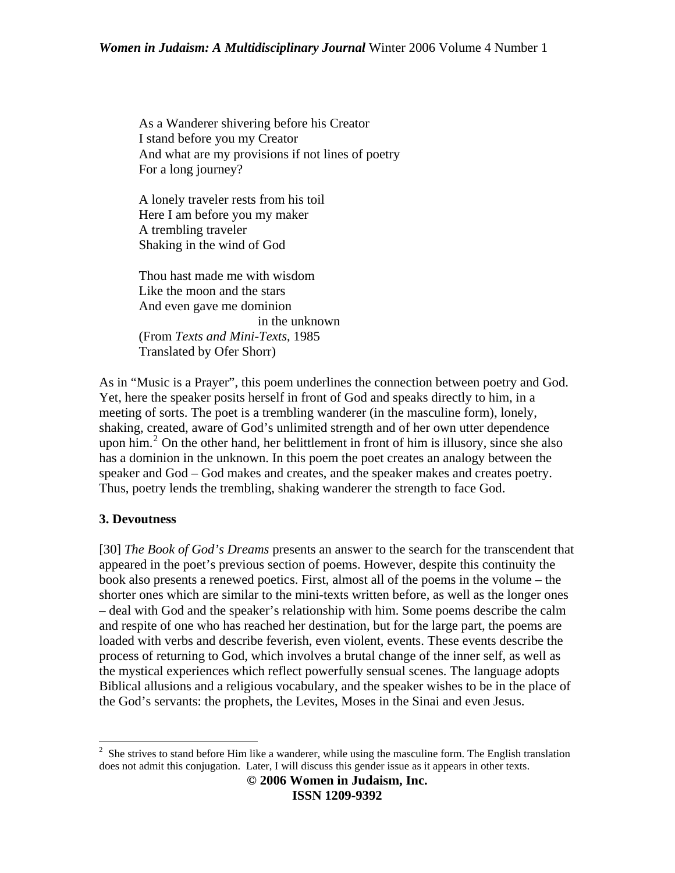As a Wanderer shivering before his Creator I stand before you my Creator And what are my provisions if not lines of poetry For a long journey?

A lonely traveler rests from his toil Here I am before you my maker A trembling traveler Shaking in the wind of God

Thou hast made me with wisdom Like the moon and the stars And even gave me dominion in the unknown (From *Texts and Mini-Texts*, 1985 Translated by Ofer Shorr)

As in "Music is a Prayer", this poem underlines the connection between poetry and God. Yet, here the speaker posits herself in front of God and speaks directly to him, in a meeting of sorts. The poet is a trembling wanderer (in the masculine form), lonely, shaking, created, aware of God's unlimited strength and of her own utter dependence upon him. $^2$  $^2$  On the other hand, her belittlement in front of him is illusory, since she also has a dominion in the unknown. In this poem the poet creates an analogy between the speaker and God – God makes and creates, and the speaker makes and creates poetry. Thus, poetry lends the trembling, shaking wanderer the strength to face God.

# **3. Devoutness**

[30] *The Book of God's Dreams* presents an answer to the search for the transcendent that appeared in the poet's previous section of poems. However, despite this continuity the book also presents a renewed poetics. First, almost all of the poems in the volume – the shorter ones which are similar to the mini-texts written before, as well as the longer ones – deal with God and the speaker's relationship with him. Some poems describe the calm and respite of one who has reached her destination, but for the large part, the poems are loaded with verbs and describe feverish, even violent, events. These events describe the process of returning to God, which involves a brutal change of the inner self, as well as the mystical experiences which reflect powerfully sensual scenes. The language adopts Biblical allusions and a religious vocabulary, and the speaker wishes to be in the place of the God's servants: the prophets, the Levites, Moses in the Sinai and even Jesus.

<span id="page-8-0"></span><sup>&</sup>lt;sup>2</sup> She strives to stand before Him like a wanderer, while using the masculine form. The English translation does not admit this conjugation. Later, I will discuss this gender issue as it appears in other texts.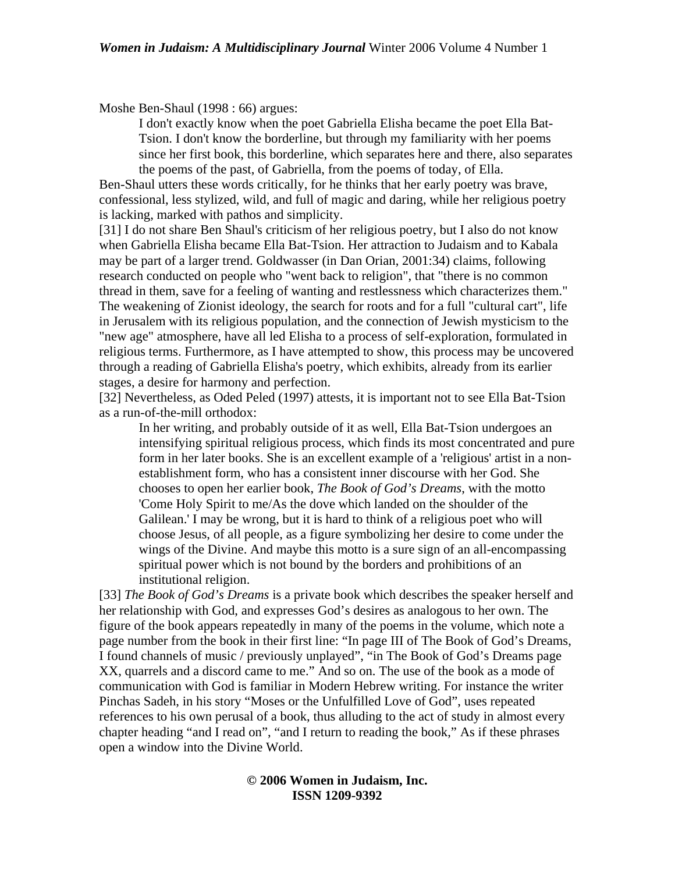Moshe Ben-Shaul (1998 : 66) argues:

I don't exactly know when the poet Gabriella Elisha became the poet Ella Bat-Tsion. I don't know the borderline, but through my familiarity with her poems since her first book, this borderline, which separates here and there, also separates the poems of the past, of Gabriella, from the poems of today, of Ella.

Ben-Shaul utters these words critically, for he thinks that her early poetry was brave, confessional, less stylized, wild, and full of magic and daring, while her religious poetry is lacking, marked with pathos and simplicity.

[31] I do not share Ben Shaul's criticism of her religious poetry, but I also do not know when Gabriella Elisha became Ella Bat-Tsion. Her attraction to Judaism and to Kabala may be part of a larger trend. Goldwasser (in Dan Orian, 2001:34) claims, following research conducted on people who "went back to religion", that "there is no common thread in them, save for a feeling of wanting and restlessness which characterizes them." The weakening of Zionist ideology, the search for roots and for a full "cultural cart", life in Jerusalem with its religious population, and the connection of Jewish mysticism to the "new age" atmosphere, have all led Elisha to a process of self-exploration, formulated in religious terms. Furthermore, as I have attempted to show, this process may be uncovered through a reading of Gabriella Elisha's poetry, which exhibits, already from its earlier stages, a desire for harmony and perfection.

[32] Nevertheless, as Oded Peled (1997) attests, it is important not to see Ella Bat-Tsion as a run-of-the-mill orthodox:

In her writing, and probably outside of it as well, Ella Bat-Tsion undergoes an intensifying spiritual religious process, which finds its most concentrated and pure form in her later books. She is an excellent example of a 'religious' artist in a nonestablishment form, who has a consistent inner discourse with her God. She chooses to open her earlier book, *The Book of God's Dreams*, with the motto 'Come Holy Spirit to me/As the dove which landed on the shoulder of the Galilean.' I may be wrong, but it is hard to think of a religious poet who will choose Jesus, of all people, as a figure symbolizing her desire to come under the wings of the Divine. And maybe this motto is a sure sign of an all-encompassing spiritual power which is not bound by the borders and prohibitions of an institutional religion.

[33] *The Book of God's Dreams* is a private book which describes the speaker herself and her relationship with God, and expresses God's desires as analogous to her own. The figure of the book appears repeatedly in many of the poems in the volume, which note a page number from the book in their first line: "In page III of The Book of God's Dreams, I found channels of music / previously unplayed", "in The Book of God's Dreams page XX, quarrels and a discord came to me." And so on. The use of the book as a mode of communication with God is familiar in Modern Hebrew writing. For instance the writer Pinchas Sadeh, in his story "Moses or the Unfulfilled Love of God", uses repeated references to his own perusal of a book, thus alluding to the act of study in almost every chapter heading "and I read on", "and I return to reading the book," As if these phrases open a window into the Divine World.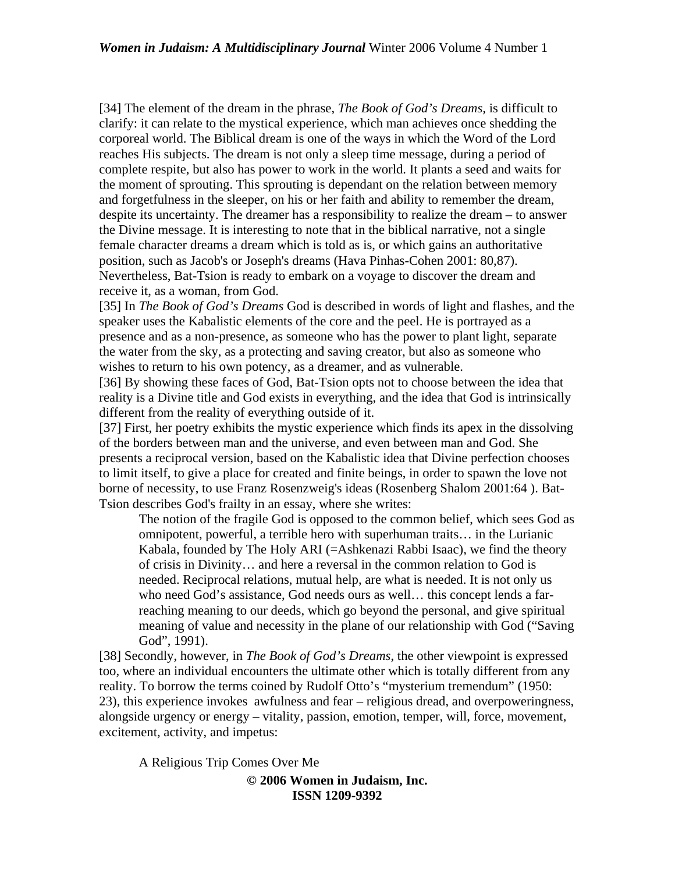[34] The element of the dream in the phrase, *The Book of God's Dreams,* is difficult to clarify: it can relate to the mystical experience, which man achieves once shedding the corporeal world. The Biblical dream is one of the ways in which the Word of the Lord reaches His subjects. The dream is not only a sleep time message, during a period of complete respite, but also has power to work in the world. It plants a seed and waits for the moment of sprouting. This sprouting is dependant on the relation between memory and forgetfulness in the sleeper, on his or her faith and ability to remember the dream, despite its uncertainty. The dreamer has a responsibility to realize the dream – to answer the Divine message. It is interesting to note that in the biblical narrative, not a single female character dreams a dream which is told as is, or which gains an authoritative position, such as Jacob's or Joseph's dreams (Hava Pinhas-Cohen 2001: 80,87). Nevertheless, Bat-Tsion is ready to embark on a voyage to discover the dream and receive it, as a woman, from God.

[35] In *The Book of God's Dreams* God is described in words of light and flashes, and the speaker uses the Kabalistic elements of the core and the peel. He is portrayed as a presence and as a non-presence, as someone who has the power to plant light, separate the water from the sky, as a protecting and saving creator, but also as someone who wishes to return to his own potency, as a dreamer, and as vulnerable.

[36] By showing these faces of God, Bat-Tsion opts not to choose between the idea that reality is a Divine title and God exists in everything, and the idea that God is intrinsically different from the reality of everything outside of it.

[37] First, her poetry exhibits the mystic experience which finds its apex in the dissolving of the borders between man and the universe, and even between man and God. She presents a reciprocal version, based on the Kabalistic idea that Divine perfection chooses to limit itself, to give a place for created and finite beings, in order to spawn the love not borne of necessity, to use Franz Rosenzweig's ideas (Rosenberg Shalom 2001:64). Bat-Tsion describes God's frailty in an essay, where she writes:

The notion of the fragile God is opposed to the common belief, which sees God as omnipotent, powerful, a terrible hero with superhuman traits… in the Lurianic Kabala, founded by The Holy ARI (=Ashkenazi Rabbi Isaac), we find the theory of crisis in Divinity… and here a reversal in the common relation to God is needed. Reciprocal relations, mutual help, are what is needed. It is not only us who need God's assistance, God needs ours as well… this concept lends a farreaching meaning to our deeds, which go beyond the personal, and give spiritual meaning of value and necessity in the plane of our relationship with God ("Saving God", 1991).

[38] Secondly, however, in *The Book of God's Dreams*, the other viewpoint is expressed too, where an individual encounters the ultimate other which is totally different from any reality. To borrow the terms coined by Rudolf Otto's "mysterium tremendum" (1950: 23), this experience invokes awfulness and fear – religious dread, and overpoweringness, alongside urgency or energy – vitality, passion, emotion, temper, will, force, movement, excitement, activity, and impetus:

A Religious Trip Comes Over Me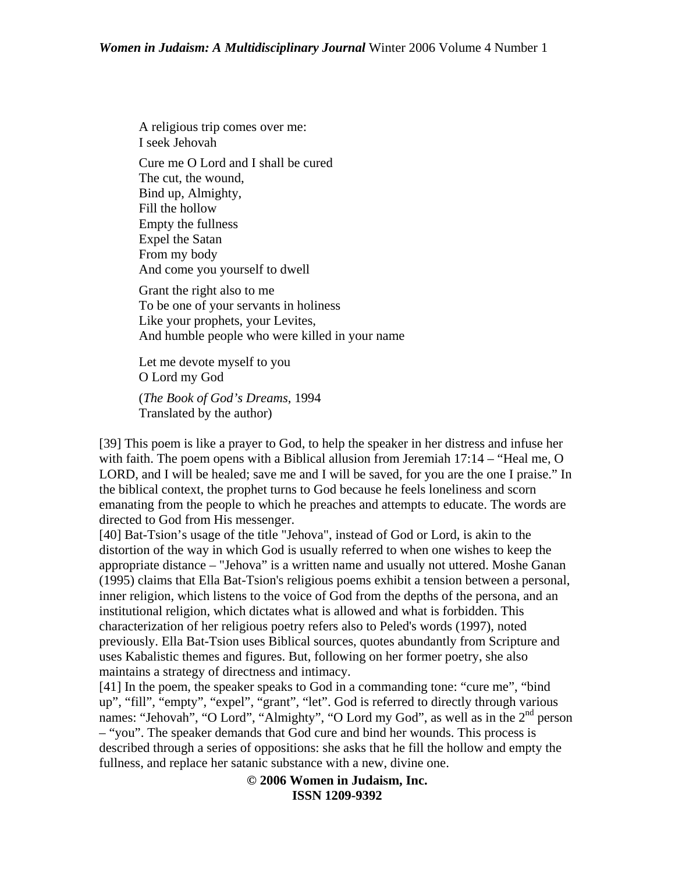A religious trip comes over me: I seek Jehovah Cure me O Lord and I shall be cured The cut, the wound, Bind up, Almighty, Fill the hollow Empty the fullness Expel the Satan From my body And come you yourself to dwell Grant the right also to me To be one of your servants in holiness Like your prophets, your Levites, And humble people who were killed in your name Let me devote myself to you O Lord my God

(*The Book of God's Dreams*, 1994 Translated by the author)

[39] This poem is like a prayer to God, to help the speaker in her distress and infuse her with faith. The poem opens with a Biblical allusion from Jeremiah  $17:14 - "Head me, O$ LORD, and I will be healed; save me and I will be saved, for you are the one I praise." In the biblical context, the prophet turns to God because he feels loneliness and scorn emanating from the people to which he preaches and attempts to educate. The words are directed to God from His messenger.

[40] Bat-Tsion's usage of the title "Jehova", instead of God or Lord, is akin to the distortion of the way in which God is usually referred to when one wishes to keep the appropriate distance – "Jehova" is a written name and usually not uttered. Moshe Ganan (1995) claims that Ella Bat-Tsion's religious poems exhibit a tension between a personal, inner religion, which listens to the voice of God from the depths of the persona, and an institutional religion, which dictates what is allowed and what is forbidden. This characterization of her religious poetry refers also to Peled's words (1997), noted previously. Ella Bat-Tsion uses Biblical sources, quotes abundantly from Scripture and uses Kabalistic themes and figures. But, following on her former poetry, she also maintains a strategy of directness and intimacy.

[41] In the poem, the speaker speaks to God in a commanding tone: "cure me", "bind" up", "fill", "empty", "expel", "grant", "let". God is referred to directly through various names: "Jehovah", "O Lord", "Almighty", "O Lord my God", as well as in the 2<sup>nd</sup> person – "you". The speaker demands that God cure and bind her wounds. This process is described through a series of oppositions: she asks that he fill the hollow and empty the fullness, and replace her satanic substance with a new, divine one.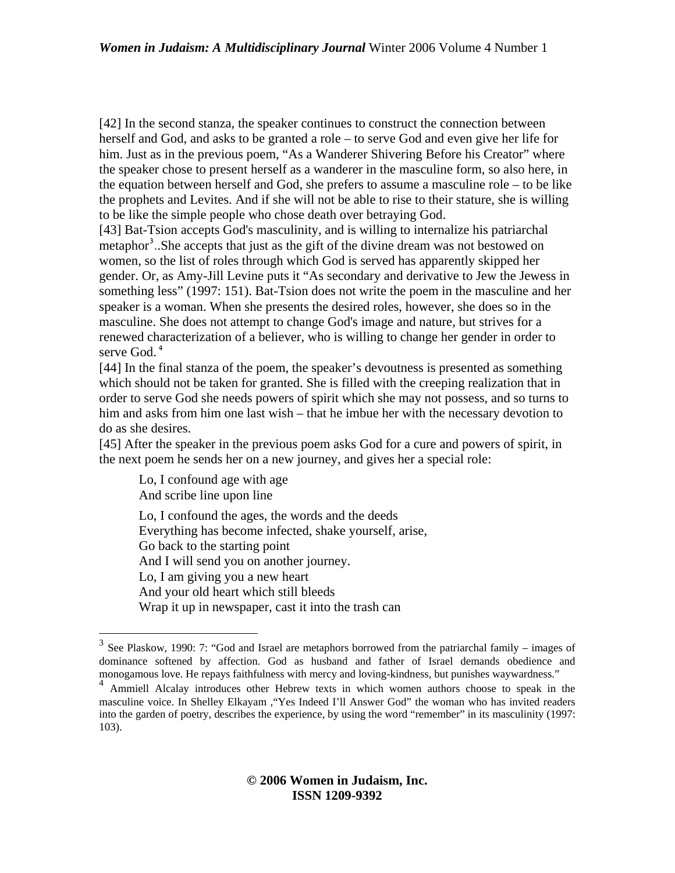[42] In the second stanza, the speaker continues to construct the connection between herself and God, and asks to be granted a role – to serve God and even give her life for him. Just as in the previous poem, "As a Wanderer Shivering Before his Creator" where the speaker chose to present herself as a wanderer in the masculine form, so also here, in the equation between herself and God, she prefers to assume a masculine role – to be like the prophets and Levites. And if she will not be able to rise to their stature, she is willing to be like the simple people who chose death over betraying God.

[43] Bat-Tsion accepts God's masculinity, and is willing to internalize his patriarchal metaphor<sup>[3](#page-12-0)</sup>. She accepts that just as the gift of the divine dream was not bestowed on women, so the list of roles through which God is served has apparently skipped her gender. Or, as Amy-Jill Levine puts it "As secondary and derivative to Jew the Jewess in something less" (1997: 151). Bat-Tsion does not write the poem in the masculine and her speaker is a woman. When she presents the desired roles, however, she does so in the masculine. She does not attempt to change God's image and nature, but strives for a renewed characterization of a believer, who is willing to change her gender in order to serve God.<sup>[4](#page-12-1)</sup>

[44] In the final stanza of the poem, the speaker's devoutness is presented as something which should not be taken for granted. She is filled with the creeping realization that in order to serve God she needs powers of spirit which she may not possess, and so turns to him and asks from him one last wish – that he imbue her with the necessary devotion to do as she desires.

[45] After the speaker in the previous poem asks God for a cure and powers of spirit, in the next poem he sends her on a new journey, and gives her a special role:

Lo, I confound age with age And scribe line upon line

<u>.</u>

Lo, I confound the ages, the words and the deeds Everything has become infected, shake yourself, arise, Go back to the starting point And I will send you on another journey. Lo, I am giving you a new heart And your old heart which still bleeds Wrap it up in newspaper, cast it into the trash can

<span id="page-12-0"></span> $3$  See Plaskow, 1990: 7: "God and Israel are metaphors borrowed from the patriarchal family – images of dominance softened by affection. God as husband and father of Israel demands obedience and monogamous love. He repays faithfulness with mercy and loving-kindness, but punishes waywardness."

<span id="page-12-1"></span><sup>&</sup>lt;sup>4</sup> Ammiell Alcalay introduces other Hebrew texts in which women authors choose to speak in the masculine voice. In Shelley Elkayam ,"Yes Indeed I'll Answer God" the woman who has invited readers into the garden of poetry, describes the experience, by using the word "remember" in its masculinity (1997: 103).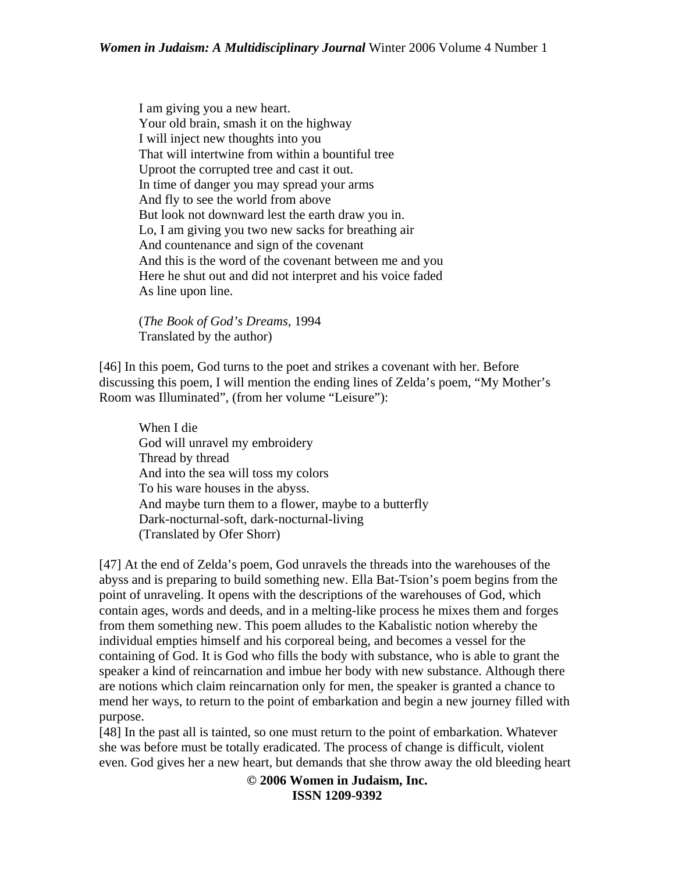I am giving you a new heart. Your old brain, smash it on the highway I will inject new thoughts into you That will intertwine from within a bountiful tree Uproot the corrupted tree and cast it out. In time of danger you may spread your arms And fly to see the world from above But look not downward lest the earth draw you in. Lo, I am giving you two new sacks for breathing air And countenance and sign of the covenant And this is the word of the covenant between me and you Here he shut out and did not interpret and his voice faded As line upon line.

(*The Book of God's Dreams*, 1994 Translated by the author)

[46] In this poem, God turns to the poet and strikes a covenant with her. Before discussing this poem, I will mention the ending lines of Zelda's poem, "My Mother's Room was Illuminated", (from her volume "Leisure"):

When I die God will unravel my embroidery Thread by thread And into the sea will toss my colors To his ware houses in the abyss. And maybe turn them to a flower, maybe to a butterfly Dark-nocturnal-soft, dark-nocturnal-living (Translated by Ofer Shorr)

[47] At the end of Zelda's poem, God unravels the threads into the warehouses of the abyss and is preparing to build something new. Ella Bat-Tsion's poem begins from the point of unraveling. It opens with the descriptions of the warehouses of God, which contain ages, words and deeds, and in a melting-like process he mixes them and forges from them something new. This poem alludes to the Kabalistic notion whereby the individual empties himself and his corporeal being, and becomes a vessel for the containing of God. It is God who fills the body with substance, who is able to grant the speaker a kind of reincarnation and imbue her body with new substance. Although there are notions which claim reincarnation only for men, the speaker is granted a chance to mend her ways, to return to the point of embarkation and begin a new journey filled with purpose.

[48] In the past all is tainted, so one must return to the point of embarkation. Whatever she was before must be totally eradicated. The process of change is difficult, violent even. God gives her a new heart, but demands that she throw away the old bleeding heart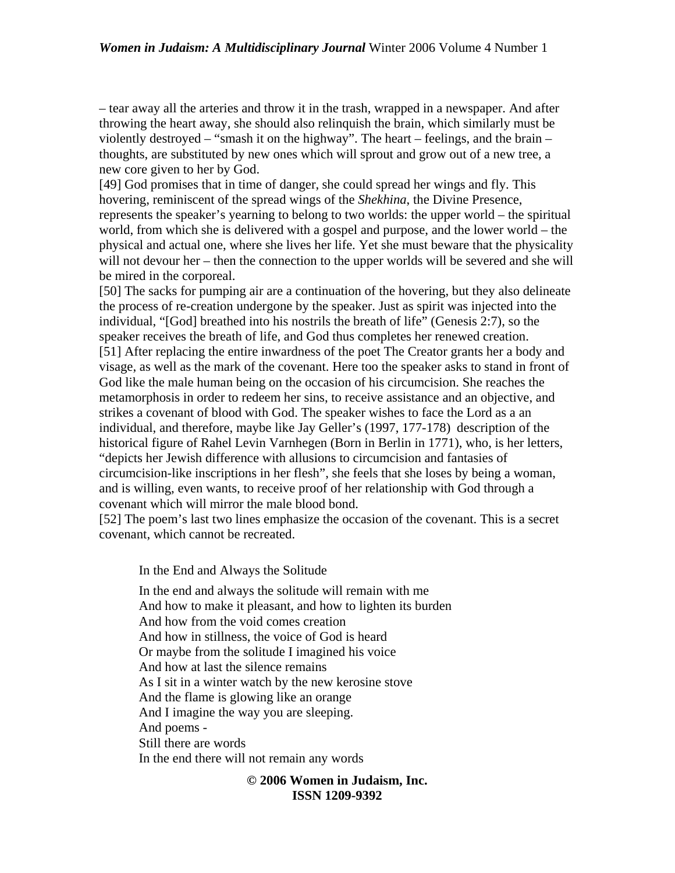– tear away all the arteries and throw it in the trash, wrapped in a newspaper. And after throwing the heart away, she should also relinquish the brain, which similarly must be violently destroyed – "smash it on the highway". The heart – feelings, and the brain – thoughts, are substituted by new ones which will sprout and grow out of a new tree, a new core given to her by God.

[49] God promises that in time of danger, she could spread her wings and fly. This hovering, reminiscent of the spread wings of the *Shekhina*, the Divine Presence, represents the speaker's yearning to belong to two worlds: the upper world – the spiritual world, from which she is delivered with a gospel and purpose, and the lower world – the physical and actual one, where she lives her life. Yet she must beware that the physicality will not devour her – then the connection to the upper worlds will be severed and she will be mired in the corporeal.

[50] The sacks for pumping air are a continuation of the hovering, but they also delineate the process of re-creation undergone by the speaker. Just as spirit was injected into the individual, "[God] breathed into his nostrils the breath of life" (Genesis 2:7), so the speaker receives the breath of life, and God thus completes her renewed creation. [51] After replacing the entire inwardness of the poet The Creator grants her a body and visage, as well as the mark of the covenant. Here too the speaker asks to stand in front of God like the male human being on the occasion of his circumcision. She reaches the metamorphosis in order to redeem her sins, to receive assistance and an objective, and strikes a covenant of blood with God. The speaker wishes to face the Lord as a an individual, and therefore, maybe like Jay Geller's (1997, 177-178) description of the historical figure of Rahel Levin Varnhegen (Born in Berlin in 1771), who, is her letters, "depicts her Jewish difference with allusions to circumcision and fantasies of circumcision-like inscriptions in her flesh", she feels that she loses by being a woman, and is willing, even wants, to receive proof of her relationship with God through a covenant which will mirror the male blood bond.

[52] The poem's last two lines emphasize the occasion of the covenant. This is a secret covenant, which cannot be recreated.

In the End and Always the Solitude

In the end and always the solitude will remain with me And how to make it pleasant, and how to lighten its burden And how from the void comes creation And how in stillness, the voice of God is heard Or maybe from the solitude I imagined his voice And how at last the silence remains As I sit in a winter watch by the new kerosine stove And the flame is glowing like an orange And I imagine the way you are sleeping. And poems - Still there are words In the end there will not remain any words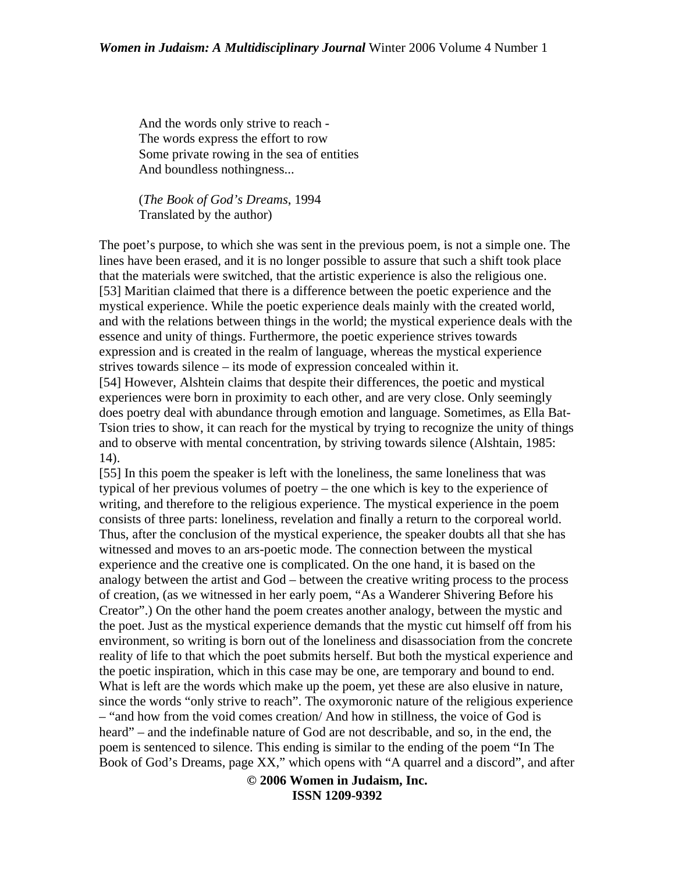And the words only strive to reach - The words express the effort to row Some private rowing in the sea of entities And boundless nothingness...

(*The Book of God's Dreams*, 1994 Translated by the author)

The poet's purpose, to which she was sent in the previous poem, is not a simple one. The lines have been erased, and it is no longer possible to assure that such a shift took place that the materials were switched, that the artistic experience is also the religious one. [53] Maritian claimed that there is a difference between the poetic experience and the mystical experience. While the poetic experience deals mainly with the created world, and with the relations between things in the world; the mystical experience deals with the essence and unity of things. Furthermore, the poetic experience strives towards expression and is created in the realm of language, whereas the mystical experience strives towards silence – its mode of expression concealed within it.

[54] However, Alshtein claims that despite their differences, the poetic and mystical experiences were born in proximity to each other, and are very close. Only seemingly does poetry deal with abundance through emotion and language. Sometimes, as Ella Bat-Tsion tries to show, it can reach for the mystical by trying to recognize the unity of things and to observe with mental concentration, by striving towards silence (Alshtain, 1985: 14).

[55] In this poem the speaker is left with the loneliness, the same loneliness that was typical of her previous volumes of poetry – the one which is key to the experience of writing, and therefore to the religious experience. The mystical experience in the poem consists of three parts: loneliness, revelation and finally a return to the corporeal world. Thus, after the conclusion of the mystical experience, the speaker doubts all that she has witnessed and moves to an ars-poetic mode. The connection between the mystical experience and the creative one is complicated. On the one hand, it is based on the analogy between the artist and God – between the creative writing process to the process of creation, (as we witnessed in her early poem, "As a Wanderer Shivering Before his Creator".) On the other hand the poem creates another analogy, between the mystic and the poet. Just as the mystical experience demands that the mystic cut himself off from his environment, so writing is born out of the loneliness and disassociation from the concrete reality of life to that which the poet submits herself. But both the mystical experience and the poetic inspiration, which in this case may be one, are temporary and bound to end. What is left are the words which make up the poem, yet these are also elusive in nature, since the words "only strive to reach". The oxymoronic nature of the religious experience – "and how from the void comes creation/ And how in stillness, the voice of God is heard" – and the indefinable nature of God are not describable, and so, in the end, the poem is sentenced to silence. This ending is similar to the ending of the poem "In The Book of God's Dreams, page XX," which opens with "A quarrel and a discord", and after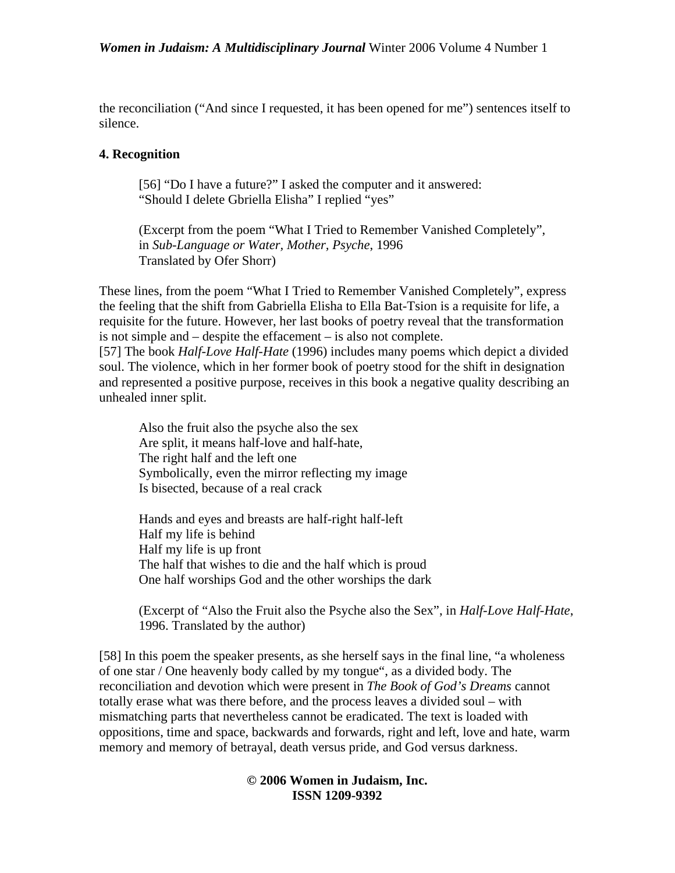the reconciliation ("And since I requested, it has been opened for me") sentences itself to silence.

## **4. Recognition**

[56] "Do I have a future?" I asked the computer and it answered: "Should I delete Gbriella Elisha" I replied "yes"

(Excerpt from the poem "What I Tried to Remember Vanished Completely", in *Sub-Language or Water, Mother, Psyche*, 1996 Translated by Ofer Shorr)

These lines, from the poem "What I Tried to Remember Vanished Completely", express the feeling that the shift from Gabriella Elisha to Ella Bat-Tsion is a requisite for life, a requisite for the future. However, her last books of poetry reveal that the transformation is not simple and – despite the effacement – is also not complete.

[57] The book *Half-Love Half-Hate* (1996) includes many poems which depict a divided soul. The violence, which in her former book of poetry stood for the shift in designation and represented a positive purpose, receives in this book a negative quality describing an unhealed inner split.

Also the fruit also the psyche also the sex Are split, it means half-love and half-hate, The right half and the left one Symbolically, even the mirror reflecting my image Is bisected, because of a real crack

Hands and eyes and breasts are half-right half-left Half my life is behind Half my life is up front The half that wishes to die and the half which is proud One half worships God and the other worships the dark

(Excerpt of "Also the Fruit also the Psyche also the Sex", in *Half-Love Half-Hate*, 1996. Translated by the author)

[58] In this poem the speaker presents, as she herself says in the final line, "a wholeness of one star / One heavenly body called by my tongue", as a divided body. The reconciliation and devotion which were present in *The Book of God's Dreams* cannot totally erase what was there before, and the process leaves a divided soul – with mismatching parts that nevertheless cannot be eradicated. The text is loaded with oppositions, time and space, backwards and forwards, right and left, love and hate, warm memory and memory of betrayal, death versus pride, and God versus darkness.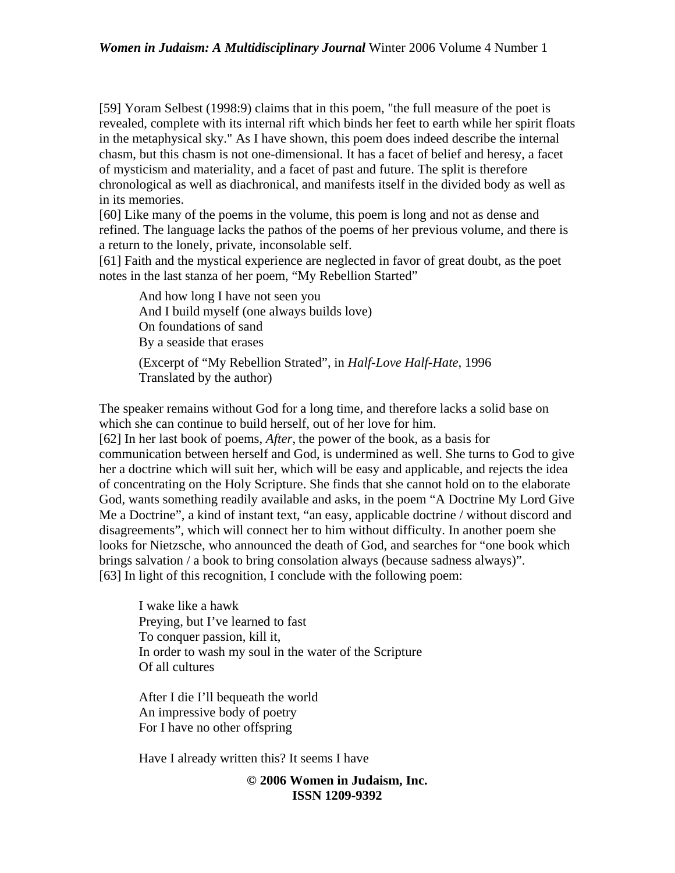[59] Yoram Selbest (1998:9) claims that in this poem, "the full measure of the poet is revealed, complete with its internal rift which binds her feet to earth while her spirit floats in the metaphysical sky." As I have shown, this poem does indeed describe the internal chasm, but this chasm is not one-dimensional. It has a facet of belief and heresy, a facet of mysticism and materiality, and a facet of past and future. The split is therefore chronological as well as diachronical, and manifests itself in the divided body as well as in its memories.

[60] Like many of the poems in the volume, this poem is long and not as dense and refined. The language lacks the pathos of the poems of her previous volume, and there is a return to the lonely, private, inconsolable self.

[61] Faith and the mystical experience are neglected in favor of great doubt, as the poet notes in the last stanza of her poem, "My Rebellion Started"

And how long I have not seen you And I build myself (one always builds love) On foundations of sand By a seaside that erases (Excerpt of "My Rebellion Strated", in *Half-Love Half-Hate*, 1996

Translated by the author)

The speaker remains without God for a long time, and therefore lacks a solid base on which she can continue to build herself, out of her love for him.

[62] In her last book of poems, *After*, the power of the book, as a basis for communication between herself and God, is undermined as well. She turns to God to give her a doctrine which will suit her, which will be easy and applicable, and rejects the idea of concentrating on the Holy Scripture. She finds that she cannot hold on to the elaborate God, wants something readily available and asks, in the poem "A Doctrine My Lord Give Me a Doctrine", a kind of instant text, "an easy, applicable doctrine / without discord and disagreements", which will connect her to him without difficulty. In another poem she looks for Nietzsche, who announced the death of God, and searches for "one book which brings salvation / a book to bring consolation always (because sadness always)". [63] In light of this recognition, I conclude with the following poem:

I wake like a hawk Preying, but I've learned to fast To conquer passion, kill it, In order to wash my soul in the water of the Scripture Of all cultures

After I die I'll bequeath the world An impressive body of poetry For I have no other offspring

Have I already written this? It seems I have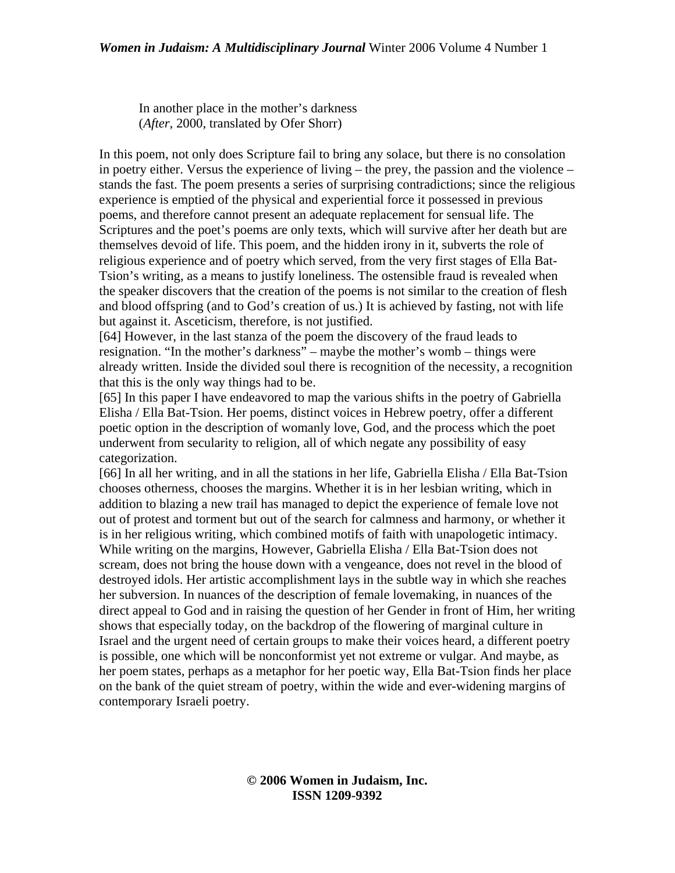In another place in the mother's darkness (*After*, 2000, translated by Ofer Shorr)

In this poem, not only does Scripture fail to bring any solace, but there is no consolation in poetry either. Versus the experience of living – the prey, the passion and the violence – stands the fast. The poem presents a series of surprising contradictions; since the religious experience is emptied of the physical and experiential force it possessed in previous poems, and therefore cannot present an adequate replacement for sensual life. The Scriptures and the poet's poems are only texts, which will survive after her death but are themselves devoid of life. This poem, and the hidden irony in it, subverts the role of religious experience and of poetry which served, from the very first stages of Ella Bat-Tsion's writing, as a means to justify loneliness. The ostensible fraud is revealed when the speaker discovers that the creation of the poems is not similar to the creation of flesh and blood offspring (and to God's creation of us.) It is achieved by fasting, not with life but against it. Asceticism, therefore, is not justified.

[64] However, in the last stanza of the poem the discovery of the fraud leads to resignation. "In the mother's darkness" – maybe the mother's womb – things were already written. Inside the divided soul there is recognition of the necessity, a recognition that this is the only way things had to be.

[65] In this paper I have endeavored to map the various shifts in the poetry of Gabriella Elisha / Ella Bat-Tsion. Her poems, distinct voices in Hebrew poetry, offer a different poetic option in the description of womanly love, God, and the process which the poet underwent from secularity to religion, all of which negate any possibility of easy categorization.

[66] In all her writing, and in all the stations in her life, Gabriella Elisha / Ella Bat-Tsion chooses otherness, chooses the margins. Whether it is in her lesbian writing, which in addition to blazing a new trail has managed to depict the experience of female love not out of protest and torment but out of the search for calmness and harmony, or whether it is in her religious writing, which combined motifs of faith with unapologetic intimacy. While writing on the margins, However, Gabriella Elisha / Ella Bat-Tsion does not scream, does not bring the house down with a vengeance, does not revel in the blood of destroyed idols. Her artistic accomplishment lays in the subtle way in which she reaches her subversion. In nuances of the description of female lovemaking, in nuances of the direct appeal to God and in raising the question of her Gender in front of Him, her writing shows that especially today, on the backdrop of the flowering of marginal culture in Israel and the urgent need of certain groups to make their voices heard, a different poetry is possible, one which will be nonconformist yet not extreme or vulgar. And maybe, as her poem states, perhaps as a metaphor for her poetic way, Ella Bat-Tsion finds her place on the bank of the quiet stream of poetry, within the wide and ever-widening margins of contemporary Israeli poetry.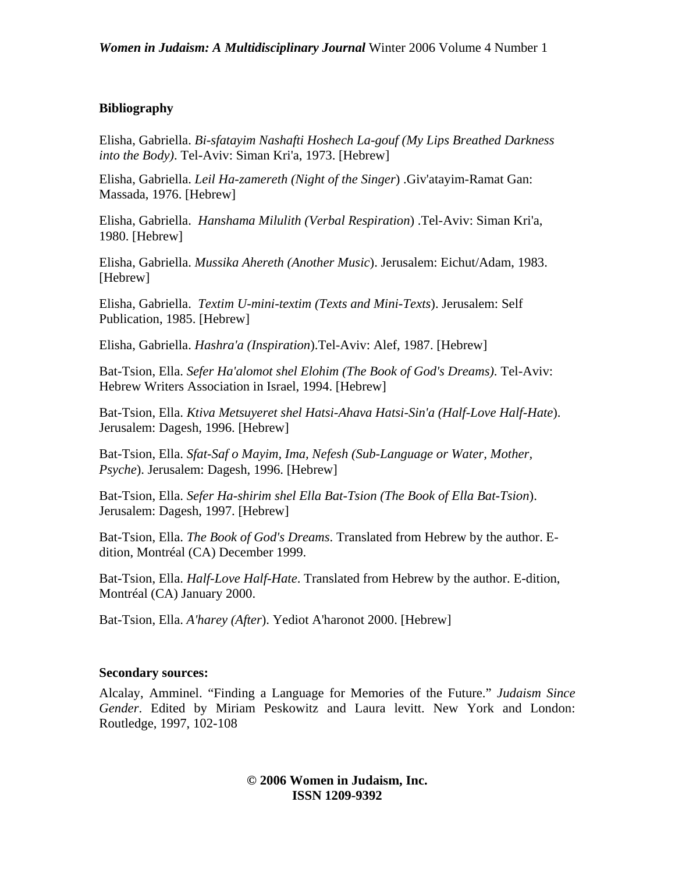## **Bibliography**

Elisha, Gabriella. *Bi-sfatayim Nashafti Hoshech La-gouf (My Lips Breathed Darkness into the Body)*. Tel-Aviv: Siman Kri'a, 1973. [Hebrew]

Elisha, Gabriella. *Leil Ha-zamereth (Night of the Singer*) .Giv'atayim-Ramat Gan: Massada, 1976. [Hebrew]

Elisha, Gabriella. *Hanshama Milulith (Verbal Respiration*) .Tel-Aviv: Siman Kri'a, 1980. [Hebrew]

Elisha, Gabriella. *Mussika Ahereth (Another Music*). Jerusalem: Eichut/Adam, 1983. [Hebrew]

Elisha, Gabriella. *Textim U-mini-textim (Texts and Mini-Texts*). Jerusalem: Self Publication, 1985. [Hebrew]

Elisha, Gabriella. *Hashra'a (Inspiration*).Tel-Aviv: Alef, 1987. [Hebrew]

Bat-Tsion, Ella. *Sefer Ha'alomot shel Elohim (The Book of God's Dreams)*. Tel-Aviv: Hebrew Writers Association in Israel, 1994. [Hebrew]

Bat-Tsion, Ella. *Ktiva Metsuyeret shel Hatsi-Ahava Hatsi-Sin'a (Half-Love Half-Hate*). Jerusalem: Dagesh, 1996. [Hebrew]

Bat-Tsion, Ella. *Sfat-Saf o Mayim, Ima, Nefesh (Sub-Language or Water, Mother, Psyche*). Jerusalem: Dagesh, 1996. [Hebrew]

Bat-Tsion, Ella. *Sefer Ha-shirim shel Ella Bat-Tsion (The Book of Ella Bat-Tsion*). Jerusalem: Dagesh, 1997. [Hebrew]

Bat-Tsion, Ella. *The Book of God's Dreams*. Translated from Hebrew by the author. [E](http://e-dition.net/dreambook.html)[dition](http://e-dition.net/dreambook.html), Montréal (CA) December 1999.

Bat-Tsion, Ella. *Half-Love Half-Hate*. Translated from Hebrew by the author. [E-dition](http://e-dition.net/halflove.html), Montréal (CA) January 2000.

Bat-Tsion, Ella. *A'harey (After*). Yediot A'haronot 2000. [Hebrew]

#### **Secondary sources:**

Alcalay, Amminel. "Finding a Language for Memories of the Future." *Judaism Since Gender*. Edited by Miriam Peskowitz and Laura levitt. New York and London: Routledge, 1997, 102-108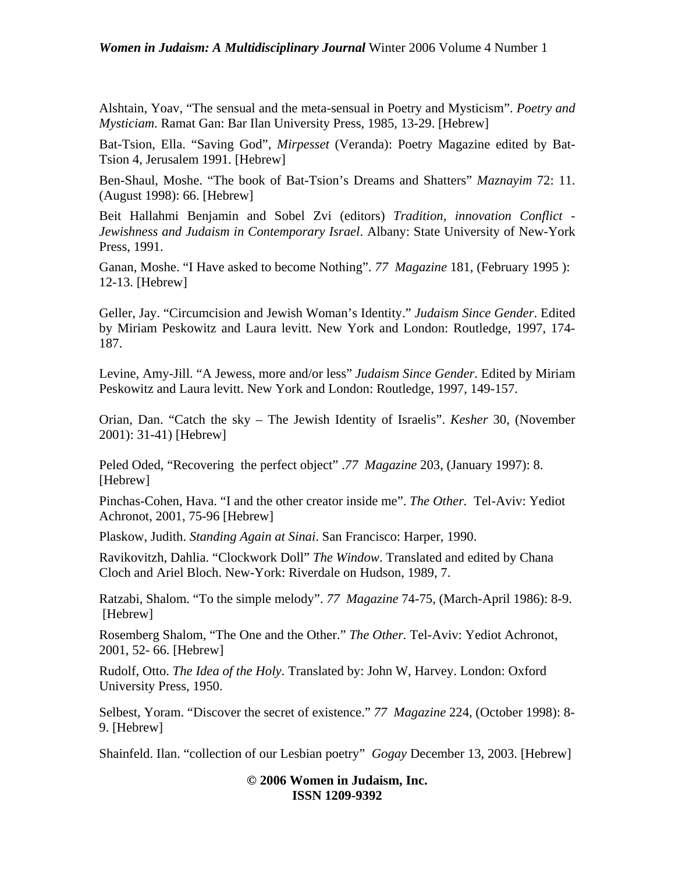Alshtain, Yoav, "The sensual and the meta-sensual in Poetry and Mysticism". *Poetry and Mysticiam*. Ramat Gan: Bar Ilan University Press, 1985, 13-29. [Hebrew]

Bat-Tsion, Ella. "Saving God", *Mirpesset* (Veranda): Poetry Magazine edited by Bat-Tsion 4, Jerusalem 1991. [Hebrew]

Ben-Shaul, Moshe. "The book of Bat-Tsion's Dreams and Shatters" *Maznayim* 72: 11. (August 1998): 66. [Hebrew]

Beit Hallahmi Benjamin and Sobel Zvi (editors) *Tradition, innovation Conflict - Jewishness and Judaism in Contemporary Israel*. Albany: State University of New-York Press, 1991.

Ganan, Moshe. "I Have asked to become Nothing". *77 Magazine* 181, (February 1995 ): 12-13. [Hebrew]

Geller, Jay. "Circumcision and Jewish Woman's Identity." *Judaism Since Gender*. Edited by Miriam Peskowitz and Laura levitt. New York and London: Routledge, 1997, 174- 187.

Levine, Amy-Jill. "A Jewess, more and/or less" *Judaism Since Gender*. Edited by Miriam Peskowitz and Laura levitt. New York and London: Routledge, 1997, 149-157.

Orian, Dan. "Catch the sky – The Jewish Identity of Israelis". *Kesher* 30, (November 2001): 31-41) [Hebrew]

Peled Oded, "Recovering the perfect object" .*77 Magazine* 203, (January 1997): 8. [Hebrew]

Pinchas-Cohen, Hava. "I and the other creator inside me". *The Other.* Tel-Aviv: Yediot Achronot, 2001, 75-96 [Hebrew]

Plaskow, Judith. *Standing Again at Sinai*. San Francisco: Harper, 1990.

Ravikovitzh, Dahlia. "Clockwork Doll" *The Window*. Translated and edited by Chana Cloch and Ariel Bloch. New-York: Riverdale on Hudson, 1989, 7.

Ratzabi, Shalom. "To the simple melody". *77 Magazine* 74-75, (March-April 1986): 8-9. [Hebrew]

Rosemberg Shalom, "The One and the Other." *The Other.* Tel-Aviv: Yediot Achronot, 2001, 52- 66. [Hebrew]

Rudolf, Otto. *The Idea of the Holy*. Translated by: John W, Harvey. London: Oxford University Press, 1950.

Selbest, Yoram. "Discover the secret of existence." *77 Magazine* 224, (October 1998): 8- 9. [Hebrew]

Shainfeld. Ilan. "collection of our Lesbian poetry" *Gogay* December 13, 2003. [Hebrew]